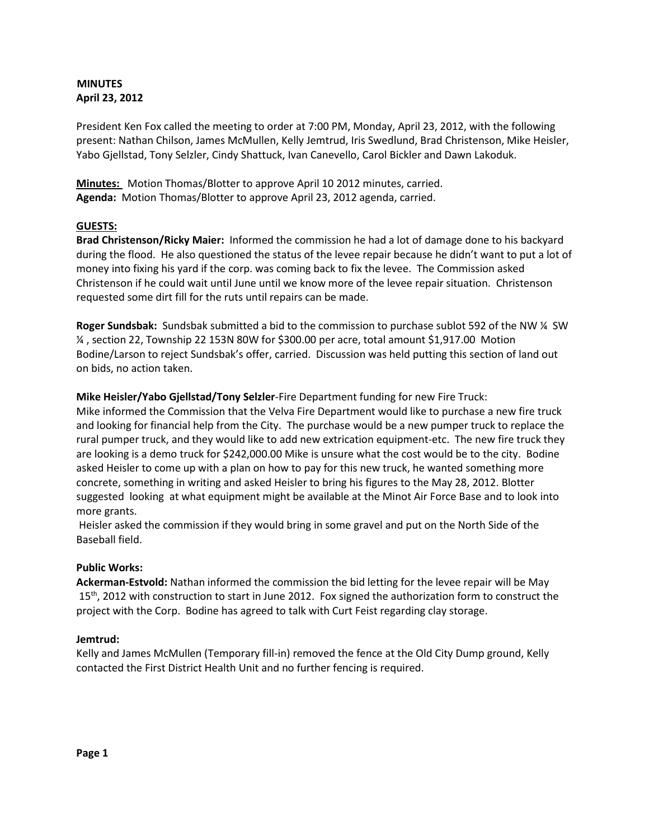## **MINUTES April 23, 2012**

President Ken Fox called the meeting to order at 7:00 PM, Monday, April 23, 2012, with the following present: Nathan Chilson, James McMullen, Kelly Jemtrud, Iris Swedlund, Brad Christenson, Mike Heisler, Yabo Gjellstad, Tony Selzler, Cindy Shattuck, Ivan Canevello, Carol Bickler and Dawn Lakoduk.

**Minutes:** Motion Thomas/Blotter to approve April 10 2012 minutes, carried. **Agenda:** Motion Thomas/Blotter to approve April 23, 2012 agenda, carried.

# **GUESTS:**

**Brad Christenson/Ricky Maier:** Informed the commission he had a lot of damage done to his backyard during the flood. He also questioned the status of the levee repair because he didn't want to put a lot of money into fixing his yard if the corp. was coming back to fix the levee. The Commission asked Christenson if he could wait until June until we know more of the levee repair situation. Christenson requested some dirt fill for the ruts until repairs can be made.

**Roger Sundsbak:** Sundsbak submitted a bid to the commission to purchase sublot 592 of the NW ¼ SW ¼ , section 22, Township 22 153N 80W for \$300.00 per acre, total amount \$1,917.00 Motion Bodine/Larson to reject Sundsbak's offer, carried. Discussion was held putting this section of land out on bids, no action taken.

## **Mike Heisler/Yabo Gjellstad/Tony Selzler**-Fire Department funding for new Fire Truck:

Mike informed the Commission that the Velva Fire Department would like to purchase a new fire truck and looking for financial help from the City. The purchase would be a new pumper truck to replace the rural pumper truck, and they would like to add new extrication equipment-etc. The new fire truck they are looking is a demo truck for \$242,000.00 Mike is unsure what the cost would be to the city. Bodine asked Heisler to come up with a plan on how to pay for this new truck, he wanted something more concrete, something in writing and asked Heisler to bring his figures to the May 28, 2012. Blotter suggested looking at what equipment might be available at the Minot Air Force Base and to look into more grants.

Heisler asked the commission if they would bring in some gravel and put on the North Side of the Baseball field.

## **Public Works:**

**Ackerman-Estvold:** Nathan informed the commission the bid letting for the levee repair will be May 15<sup>th</sup>, 2012 with construction to start in June 2012. Fox signed the authorization form to construct the project with the Corp. Bodine has agreed to talk with Curt Feist regarding clay storage.

## **Jemtrud:**

Kelly and James McMullen (Temporary fill-in) removed the fence at the Old City Dump ground, Kelly contacted the First District Health Unit and no further fencing is required.